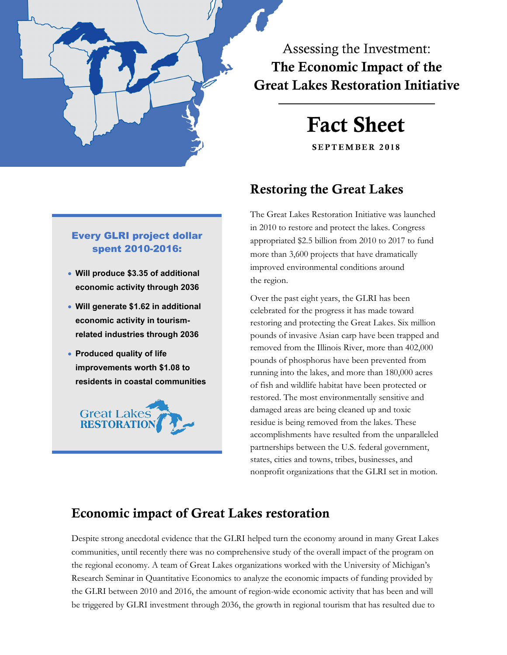

Assessing the Investment: The Economic Impact of the **Great Lakes Restoration Initiative** 

# **Fact Sheet**

**SEPTEMBER 2018** 

## Restoring the Great Lakes

The Great Lakes Restoration Initiative was launched in 2010 to restore and protect the lakes. Congress appropriated \$2.5 billion from 2010 to 2017 to fund more than 3,600 projects that have dramatically improved environmental conditions around the region.

Over the past eight years, the GLRI has been celebrated for the progress it has made toward restoring and protecting the Great Lakes. Six million pounds of invasive Asian carp have been trapped and removed from the Illinois River, more than 402,000 pounds of phosphorus have been prevented from running into the lakes, and more than 180,000 acres of fish and wildlife habitat have been protected or restored. The most environmentally sensitive and damaged areas are being cleaned up and toxic residue is being removed from the lakes. These accomplishments have resulted from the unparalleled partnerships between the U.S. federal government, states, cities and towns, tribes, businesses, and nonprofit organizations that the GLRI set in motion.

## Economic impact of Great Lakes restoration

Despite strong anecdotal evidence that the GLRI helped turn the economy around in many Great Lakes communities, until recently there was no comprehensive study of the overall impact of the program on the regional economy. A team of Great Lakes organizations worked with the University of Michigan's Research Seminar in Quantitative Economics to analyze the economic impacts of funding provided by the GLRI between 2010 and 2016, the amount of region-wide economic activity that has been and will be triggered by GLRI investment through 2036, the growth in regional tourism that has resulted due to

#### Every GLRI project dollar spent 2010-2016:

- **Will produce \$3.35 of additional economic activity through 2036**
- **Will generate \$1.62 in additional economic activity in tourismrelated industries through 2036**
- **Produced quality of life improvements worth \$1.08 to residents in coastal communities**